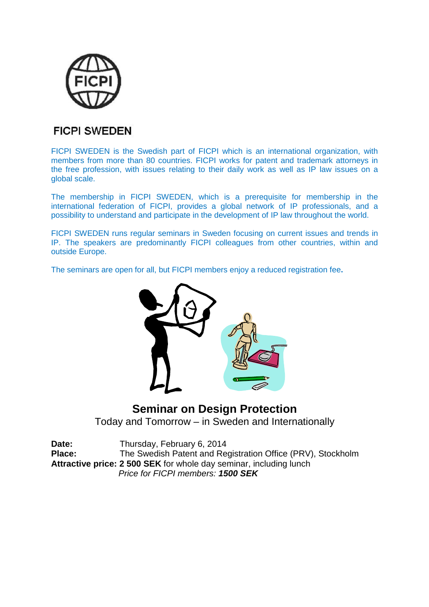

### **FICPI SWEDEN**

FICPI SWEDEN is the Swedish part of FICPI which is an international organization, with members from more than 80 countries. FICPI works for patent and trademark attorneys in the free profession, with issues relating to their daily work as well as IP law issues on a global scale.

The membership in FICPI SWEDEN, which is a prerequisite for membership in the international federation of FICPI, provides a global network of IP professionals, and a possibility to understand and participate in the development of IP law throughout the world.

FICPI SWEDEN runs regular seminars in Sweden focusing on current issues and trends in IP. The speakers are predominantly FICPI colleagues from other countries, within and outside Europe.

The seminars are open for all, but FICPI members enjoy a reduced registration fee**.**



# **Seminar on Design Protection** Today and Tomorrow – in Sweden and Internationally

| Date:                                                              | Thursday, February 6, 2014                                  |
|--------------------------------------------------------------------|-------------------------------------------------------------|
| Place:                                                             | The Swedish Patent and Registration Office (PRV), Stockholm |
| Attractive price: 2 500 SEK for whole day seminar, including lunch |                                                             |
|                                                                    | Price for FICPI members: 1500 SEK                           |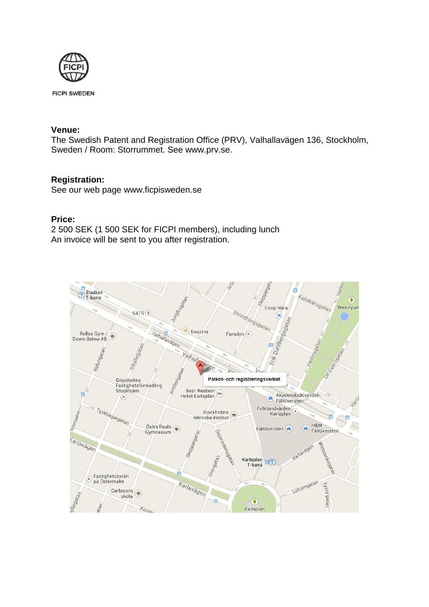

**FICPI SWEDEN** 

#### **Venue:**

The Swedish Patent and Registration Office (PRV), Valhallavägen 136, Stockholm, Sweden / Room: Storrummet. See www.prv.se.

#### **Registration:**

See our web page www.ficpisweden.se

#### **Price:**

2 500 SEK (1 500 SEK for FICPI members), including lunch An invoice will be sent to you after registration.